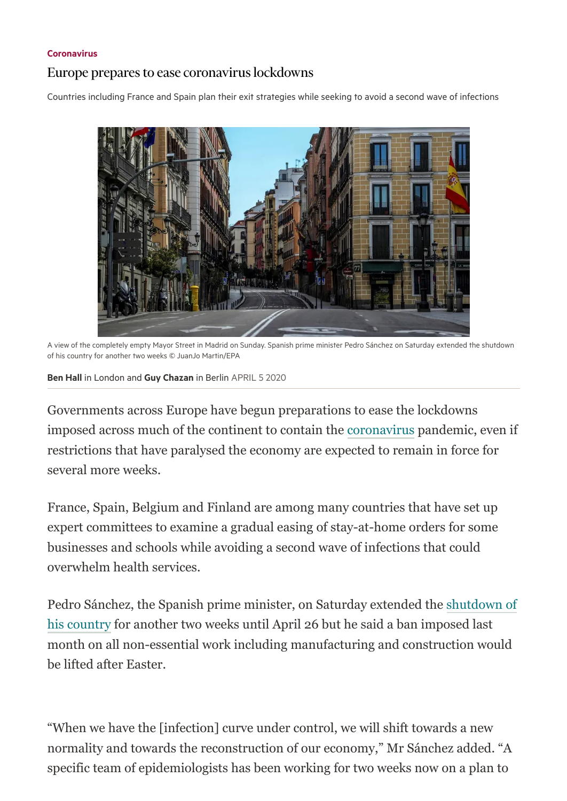## [Coronavirus](https://www.ft.com/coronavirus)

## Europe prepares to ease coronavirus lockdowns

Countries including France and Spain plan their exit strategies while seeking to avoid a second wave of infections



A view of the completely empty Mayor Street in Madrid on Sunday. Spanish prime minister Pedro Sánchez on Saturday extended the shutdown of his country for another two weeks © JuanJo Martin/EPA

Ben [Hall](https://www.ft.com/ben-hall) in London and Guy [Chazan](https://www.ft.com/guy-chazan) in Berlin APRIL 5 2020

Governments across Europe have begun preparations to ease the lockdowns imposed across much of the continent to contain the [coronavirus](https://www.ft.com/content/14b1f5eb-16a0-3481-b1b5-d83634eb0e61) pandemic, even if restrictions that have paralysed the economy are expected to remain in force for several more weeks.

France, Spain, Belgium and Finland are among many countries that have set up expert committees to examine a gradual easing of stay-at-home orders for some businesses and schools while avoiding a second wave of infections that could overwhelm health services.

[Pedro Sánchez, the Spanish prime minister, on Saturday extended the shutdown of](https://www.ft.com/content/c764b98d-ae03-41ac-a2ca-8309f32d5e1c) his country for another two weeks until April 26 but he said a ban imposed last month on all non-essential work including manufacturing and construction would be lifted after Easter.

"When we have the [infection] curve under control, we will shift towards a new normality and towards the reconstruction of our economy," Mr Sánchez added. "A specific team of epidemiologists has been working for two weeks now on a plan to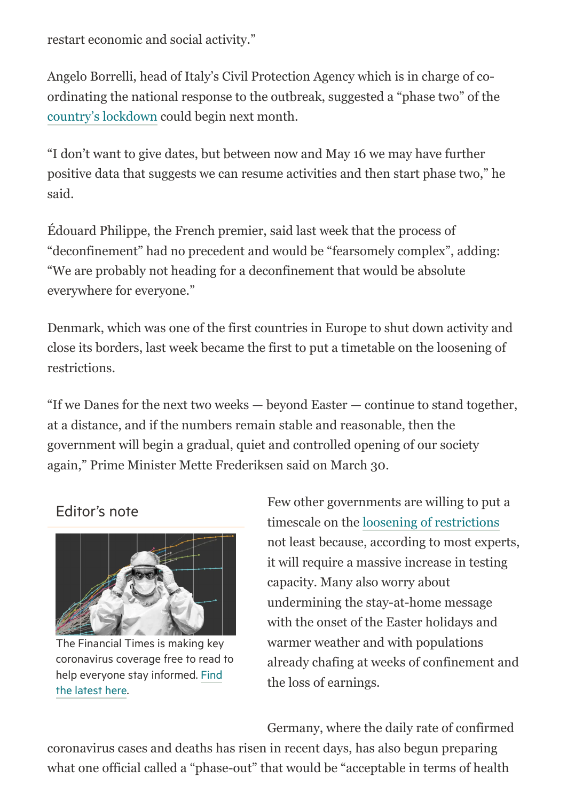restart economic and social activity."

Angelo Borrelli, head of Italy's Civil Protection Agency which is in charge of coordinating the national response to the outbreak, suggested a "phase two" of the [country's lockdown](https://www.ft.com/content/9c75d47f-49ee-4613-add1-a692b97d95d3) could begin next month.

"I don't want to give dates, but between now and May 16 we may have further positive data that suggests we can resume activities and then start phase two," he said.

Édouard Philippe, the French premier, said last week that the process of "deconfinement" had no precedent and would be "fearsomely complex", adding: "We are probably not heading for a deconfinement that would be absolute everywhere for everyone."

Denmark, which was one of the first countries in Europe to shut down activity and close its borders, last week became the first to put a timetable on the loosening of restrictions.

"If we Danes for the next two weeks — beyond Easter — continue to stand together, at a distance, and if the numbers remain stable and reasonable, then the government will begin a gradual, quiet and controlled opening of our society again," Prime Minister Mette Frederiksen said on March 30.

## Editor's note



The Financial Times is making key coronavirus coverage free to read to help everyone stay [informed.](https://www.ft.com/coronavirusfree) Find the latest here.

Few other governments are willing to put a timescale on the [loosening of restrictions](https://www.ft.com/content/bb506510-6eb0-11ea-9bca-bf503995cd6f) not least because, according to most experts, it will require a massive increase in testing capacity. Many also worry about undermining the stay-at-home message with the onset of the Easter holidays and warmer weather and with populations already chafing at weeks of confinement and the loss of earnings.

Germany, where the daily rate of confirmed

coronavirus cases and deaths has risen in recent days, has also begun preparing what one official called a "phase-out" that would be "acceptable in terms of health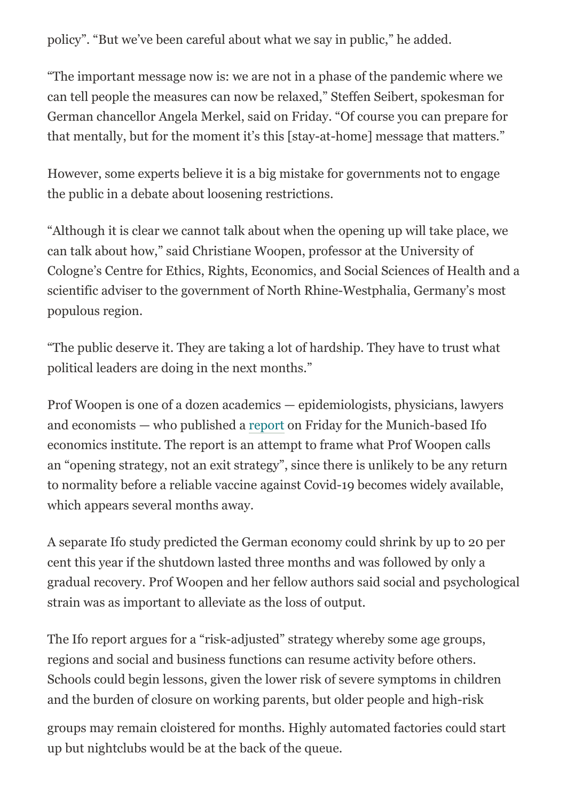policy". "But we've been careful about what we say in public," he added.

"The important message now is: we are not in a phase of the pandemic where we can tell people the measures can now be relaxed," Steffen Seibert, spokesman for German chancellor Angela Merkel, said on Friday. "Of course you can prepare for that mentally, but for the moment it's this [stay-at-home] message that matters."

However, some experts believe it is a big mistake for governments not to engage the public in a debate about loosening restrictions.

"Although it is clear we cannot talk about when the opening up will take place, we can talk about how," said Christiane Woopen, professor at the University of Cologne's Centre for Ethics, Rights, Economics, and Social Sciences of Health and a scientific adviser to the government of North Rhine-Westphalia, Germany's most populous region.

"The public deserve it. They are taking a lot of hardship. They have to trust what political leaders are doing in the next months."

Prof Woopen is one of a dozen academics — epidemiologists, physicians, lawyers and economists — who published a [report](https://www.ifo.de/en/publikationen/2020/monograph-authorship/making-fight-against-coronavirus-pandemic-sustainable) on Friday for the Munich-based Ifo economics institute. The report is an attempt to frame what Prof Woopen calls an "opening strategy, not an exit strategy", since there is unlikely to be any return to normality before a reliable vaccine against Covid-19 becomes widely available, which appears several months away.

A separate Ifo study predicted the German economy could shrink by up to 20 per cent this year if the shutdown lasted three months and was followed by only a gradual recovery. Prof Woopen and her fellow authors said social and psychological strain was as important to alleviate as the loss of output.

The Ifo report argues for a "risk-adjusted" strategy whereby some age groups, regions and social and business functions can resume activity before others. Schools could begin lessons, given the lower risk of severe symptoms in children and the burden of closure on working parents, but older people and high-risk

groups may remain cloistered for months. Highly automated factories could start up but nightclubs would be at the back of the queue.